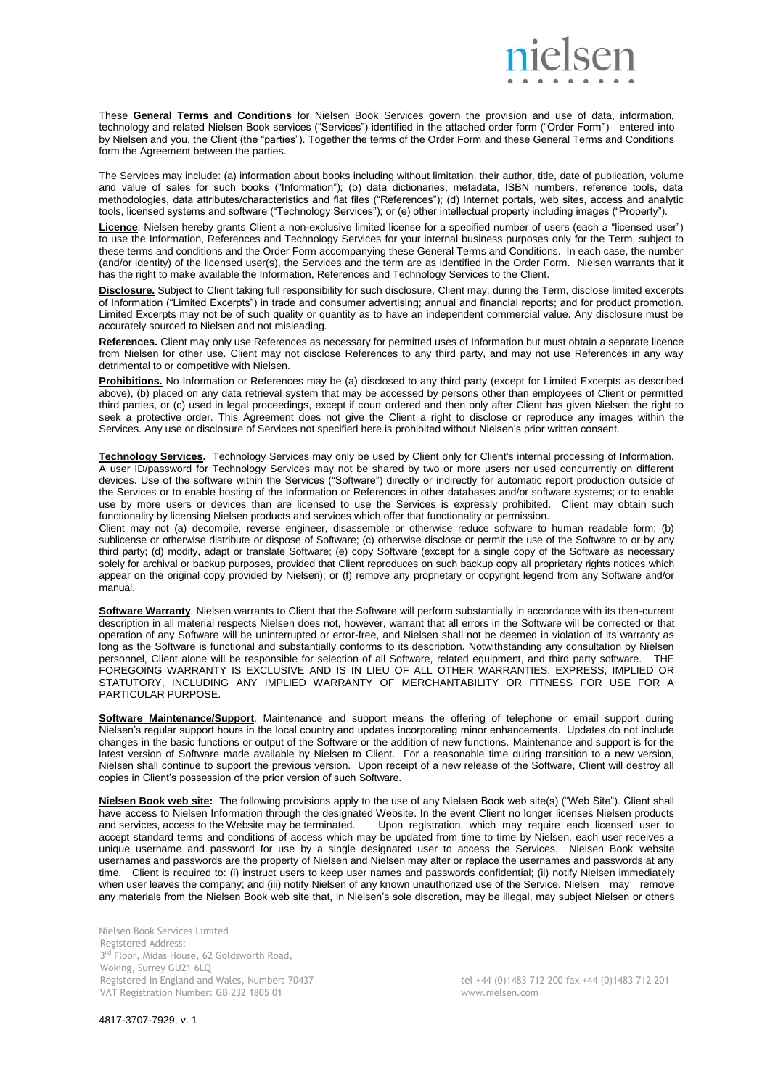

These **General Terms and Conditions** for Nielsen Book Services govern the provision and use of data, information, technology and related Nielsen Book services ("Services") identified in the attached order form ("Order Form") entered into by Nielsen and you, the Client (the "parties"). Together the terms of the Order Form and these General Terms and Conditions form the Agreement between the parties.

The Services may include: (a) information about books including without limitation, their author, title, date of publication, volume and value of sales for such books ("Information"); (b) data dictionaries, metadata, ISBN numbers, reference tools, data methodologies, data attributes/characteristics and flat files ("References"); (d) Internet portals, web sites, access and analytic tools, licensed systems and software ("Technology Services"); or (e) other intellectual property including images ("Property").

**Licence**. Nielsen hereby grants Client a non-exclusive limited license for a specified number of users (each a "licensed user") to use the Information, References and Technology Services for your internal business purposes only for the Term, subject to these terms and conditions and the Order Form accompanying these General Terms and Conditions. In each case, the number (and/or identity) of the licensed user(s), the Services and the term are as identified in the Order Form. Nielsen warrants that it has the right to make available the Information, References and Technology Services to the Client.

**Disclosure.** Subject to Client taking full responsibility for such disclosure, Client may, during the Term, disclose limited excerpts of Information ("Limited Excerpts") in trade and consumer advertising; annual and financial reports; and for product promotion. Limited Excerpts may not be of such quality or quantity as to have an independent commercial value. Any disclosure must be accurately sourced to Nielsen and not misleading.

**References.** Client may only use References as necessary for permitted uses of Information but must obtain a separate licence from Nielsen for other use. Client may not disclose References to any third party, and may not use References in any way detrimental to or competitive with Nielsen.

**Prohibitions.** No Information or References may be (a) disclosed to any third party (except for Limited Excerpts as described above), (b) placed on any data retrieval system that may be accessed by persons other than employees of Client or permitted third parties, or (c) used in legal proceedings, except if court ordered and then only after Client has given Nielsen the right to seek a protective order. This Agreement does not give the Client a right to disclose or reproduce any images within the Services. Any use or disclosure of Services not specified here is prohibited without Nielsen's prior written consent.

**Technology Services.** Technology Services may only be used by Client only for Client's internal processing of Information. A user ID/password for Technology Services may not be shared by two or more users nor used concurrently on different devices. Use of the software within the Services ("Software") directly or indirectly for automatic report production outside of the Services or to enable hosting of the Information or References in other databases and/or software systems; or to enable use by more users or devices than are licensed to use the Services is expressly prohibited. Client may obtain such functionality by licensing Nielsen products and services which offer that functionality or permission.

Client may not (a) decompile, reverse engineer, disassemble or otherwise reduce software to human readable form; (b) sublicense or otherwise distribute or dispose of Software; (c) otherwise disclose or permit the use of the Software to or by any third party; (d) modify, adapt or translate Software; (e) copy Software (except for a single copy of the Software as necessary solely for archival or backup purposes, provided that Client reproduces on such backup copy all proprietary rights notices which appear on the original copy provided by Nielsen); or (f) remove any proprietary or copyright legend from any Software and/or manual.

**Software Warranty**. Nielsen warrants to Client that the Software will perform substantially in accordance with its then-current description in all material respects Nielsen does not, however, warrant that all errors in the Software will be corrected or that operation of any Software will be uninterrupted or error-free, and Nielsen shall not be deemed in violation of its warranty as long as the Software is functional and substantially conforms to its description. Notwithstanding any consultation by Nielsen personnel, Client alone will be responsible for selection of all Software, related equipment, and third party software. THE FOREGOING WARRANTY IS EXCLUSIVE AND IS IN LIEU OF ALL OTHER WARRANTIES, EXPRESS, IMPLIED OR STATUTORY, INCLUDING ANY IMPLIED WARRANTY OF MERCHANTABILITY OR FITNESS FOR USE FOR A PARTICULAR PURPOSE.

**Software Maintenance/Support**. Maintenance and support means the offering of telephone or email support during Nielsen's regular support hours in the local country and updates incorporating minor enhancements. Updates do not include changes in the basic functions or output of the Software or the addition of new functions. Maintenance and support is for the latest version of Software made available by Nielsen to Client. For a reasonable time during transition to a new version, Nielsen shall continue to support the previous version. Upon receipt of a new release of the Software, Client will destroy all copies in Client's possession of the prior version of such Software.

**Nielsen Book web site:** The following provisions apply to the use of any Nielsen Book web site(s) ("Web Site"). Client shall have access to Nielsen Information through the designated Website. In the event Client no longer licenses Nielsen products and services, access to the Website may be terminated. Upon registration, which may require each li Upon registration, which may require each licensed user to accept standard terms and conditions of access which may be updated from time to time by Nielsen, each user receives a unique username and password for use by a single designated user to access the Services. Nielsen Book website usernames and passwords are the property of Nielsen and Nielsen may alter or replace the usernames and passwords at any time. Client is required to: (i) instruct users to keep user names and passwords confidential; (ii) notify Nielsen immediately when user leaves the company; and (iii) notify Nielsen of any known unauthorized use of the Service. Nielsen may remove any materials from the Nielsen Book web site that, in Nielsen's sole discretion, may be illegal, may subject Nielsen or others

Nielsen Book Services Limited Registered Address: 3<sup>rd</sup> Floor, Midas House, 62 Goldsworth Road, Woking, Surrey GU21 6LQ Registered in England and Wales, Number: 70437 tel +44 (0)1483 712 200 fax +44 (0)1483 712 201 VAT Registration Number: GB 232 1805 01 www.nielsen.com